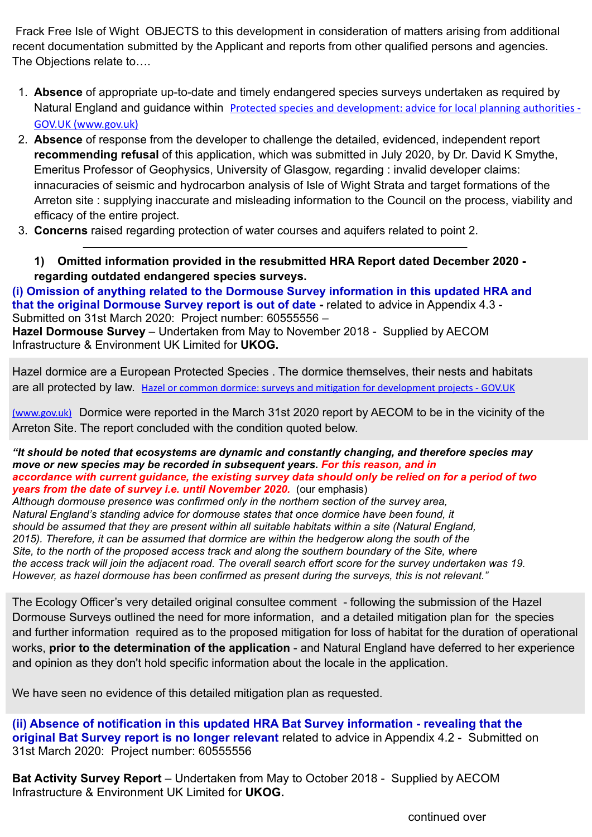Frack Free Isle of Wight OBJECTS to this development in consideration of matters arising from additional recent documentation submitted by the Applicant and reports from other qualified persons and agencies. The Objections relate to….

- 1. **Absence** of appropriate up-to-date and timely endangered species surveys undertaken as required by Natural England and guidance within [Protected species and development: advice for local planning authorities -](https://www.gov.uk/guidance/protected-species-how-to-review-planning-applications#when-to-survey)  [GOV.UK \(www.gov.uk\)](https://www.gov.uk/guidance/protected-species-how-to-review-planning-applications#when-to-survey)
- 2. **Absence** of response from the developer to challenge the detailed, evidenced, independent report **recommending refusal** of this application, which was submitted in July 2020, by Dr. David K Smythe, Emeritus Professor of Geophysics, University of Glasgow, regarding : invalid developer claims: innacuracies of seismic and hydrocarbon analysis of Isle of Wight Strata and target formations of the Arreton site : supplying inaccurate and misleading information to the Council on the process, viability and efficacy of the entire project.
- 3. **Concerns** raised regarding protection of water courses and aquifers related to point 2.

**1) Omitted information provided in the resubmitted HRA Report dated December 2020 regarding outdated endangered species surveys.**

**(i) Omission of anything related to the Dormouse Survey information in this updated HRA and that the original Dormouse Survey report is out of date -** related to advice in Appendix 4.3 - Submitted on 31st March 2020:Project number: 60555556 –

**Hazel Dormouse Survey** – Undertaken from May to November 2018 - Supplied by AECOM Infrastructure & Environment UK Limited for **UKOG.** 

Hazel dormice are a European Protected Species . The dormice themselves, their nests and habitats are all protected by law. [Hazel or common dormice: surveys and mitigation for development projects - GOV.UK](https://www.gov.uk/guidance/hazel-or-common-dormice-surveys-and-mitigation-for-development-projects#survey-methods) 

[\(www.gov.uk\)](https://www.gov.uk/guidance/hazel-or-common-dormice-surveys-and-mitigation-for-development-projects#survey-methods) Dormice were reported in the March 31st 2020 report by AECOM to be in the vicinity of the Arreton Site. The report concluded with the condition quoted below.

*"It should be noted that ecosystems are dynamic and constantly changing, and therefore species may move or new species may be recorded in subsequent years. For this reason, and in accordance with current guidance, the existing survey data should only be relied on for a period of two years from the date of survey i.e. until November 2020. (our emphasis)* 

*Although dormouse presence was confirmed only in the northern section of the survey area, Natural England's standing advice for dormouse states that once dormice have been found, it should be assumed that they are present within all suitable habitats within a site (Natural England, 2015). Therefore, it can be assumed that dormice are within the hedgerow along the south of the Site, to the north of the proposed access track and along the southern boundary of the Site, where the access track will join the adjacent road. The overall search effort score for the survey undertaken was 19. However, as hazel dormouse has been confirmed as present during the surveys, this is not relevant."*

The Ecology Officer's very detailed original consultee comment - following the submission of the Hazel Dormouse Surveys outlined the need for more information, and a detailed mitigation plan for the species and further information required as to the proposed mitigation for loss of habitat for the duration of operational works, **prior to the determination of the application** - and Natural England have deferred to her experience and opinion as they don't hold specific information about the locale in the application.

We have seen no evidence of this detailed mitigation plan as requested.

**(ii) Absence of notification in this updated HRA Bat Survey information - revealing that the original Bat Survey report is no longer relevant** related to advice in Appendix 4.2 - Submitted on 31st March 2020: Project number: 60555556

**Bat Activity Survey Report** – Undertaken from May to October 2018 - Supplied by AECOM Infrastructure & Environment UK Limited for **UKOG.**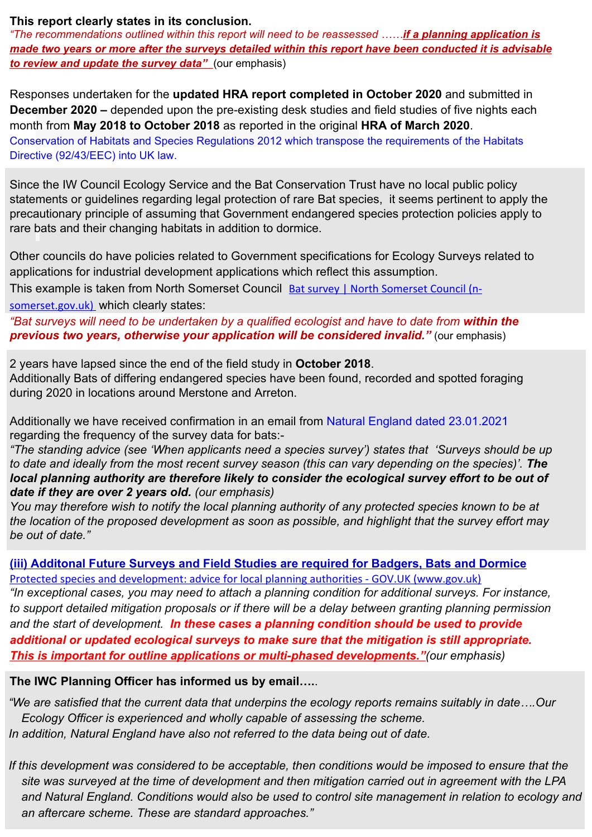### **This report clearly states in its conclusion.**

*"The recommendations outlined within this report will need to be reassessed ……if a planning application is made two years or more after the surveys detailed within this report have been conducted it is advisable to review and update the survey data"* (our emphasis)

Responses undertaken for the **updated HRA report completed in October 2020** and submitted in **December 2020 –** depended upon the pre-existing desk studies and field studies of five nights each month from **May 2018 to October 2018** as reported in the original **HRA of March 2020**. Conservation of Habitats and Species Regulations 2012 which transpose the requirements of the Habitats Directive (92/43/EEC) into UK law.

Since the IW Council Ecology Service and the Bat Conservation Trust have no local public policy statements or guidelines regarding legal protection of rare Bat species, it seems pertinent to apply the precautionary principle of assuming that Government endangered species protection policies apply to rare bats and their changing habitats in addition to dormice.

Other councils do have policies related to Government specifications for Ecology Surveys related to applications for industrial development applications which reflect this assumption.

This example is taken from North Somerset Council [Bat survey | North Somerset Council \(n-](https://www.n-somerset.gov.uk/my-services/planning-building-control/planning-advice/supporting-documents/plans-tests-reports/bat-survey)

[somerset.gov.uk\)](https://www.n-somerset.gov.uk/my-services/planning-building-control/planning-advice/supporting-documents/plans-tests-reports/bat-survey) which clearly states:

*"Bat surveys will need to be undertaken by a qualified ecologist and have to date from within the*  **previous two years, otherwise your application will be considered invalid."** (our emphasis)

2 years have lapsed since the end of the field study in **October 2018**. Additionally Bats of differing endangered species have been found, recorded and spotted foraging during 2020 in locations around Merstone and Arreton.

Additionally we have received confirmation in an email from Natural England dated 23.01.2021 regarding the frequency of the survey data for bats:-

*"The standing advice (see 'When applicants need a species survey') states that 'Surveys should be up to date and ideally from the most recent survey season (this can vary depending on the species)'. The*  local planning authority are therefore likely to consider the ecological survey effort to be out of *date if they are over 2 years old. (our emphasis)*

*You may therefore wish to notify the local planning authority of any protected species known to be at the location of the proposed development as soon as possible, and highlight that the survey effort may be out of date."*

**(iii) Additonal Future Surveys and Field Studies are required for Badgers, Bats and Dormice** [Protected species and development: advice for local planning authorities - GOV.UK \(www.gov.uk\)](https://www.gov.uk/guidance/protected-species-how-to-review-planning-applications#when-to-survey) *"In exceptional cases, you may need to attach a planning condition for additional surveys. For instance, to support detailed mitigation proposals or if there will be a delay between granting planning permission and the start of development. In these cases a planning condition should be used to provide additional or updated ecological surveys to make sure that the mitigation is still appropriate. This is important for outline applications or multi-phased developments."(our emphasis)*

**The IWC Planning Officer has informed us by email….**.

*"We are satisfied that the current data that underpins the ecology reports remains suitably in date….Our Ecology Officer is experienced and wholly capable of assessing the scheme. In addition, Natural England have also not referred to the data being out of date.* 

*If this development was considered to be acceptable, then conditions would be imposed to ensure that the site was surveyed at the time of development and then mitigation carried out in agreement with the LPA and Natural England. Conditions would also be used to control site management in relation to ecology and an aftercare scheme. These are standard approaches."*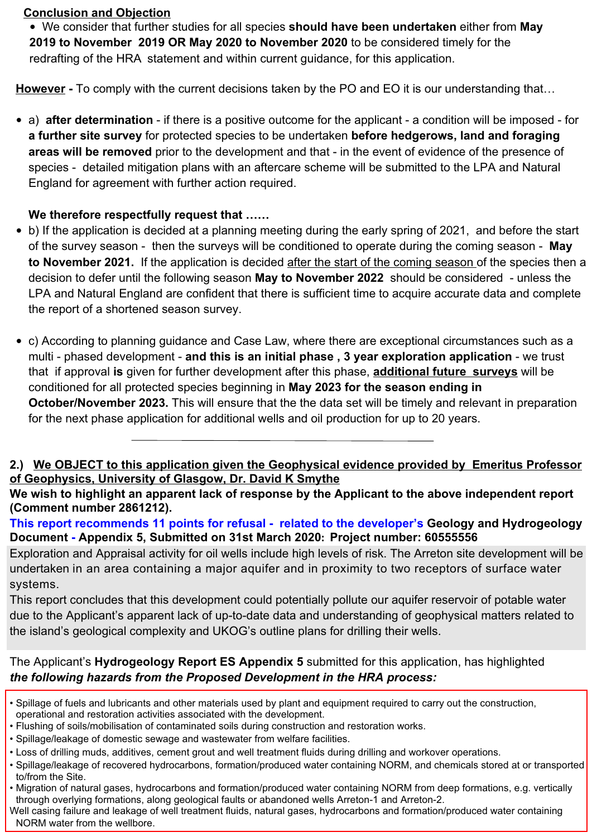# **Conclusion and Objection**

• We consider that further studies for all species **should have been undertaken** either from **May 2019 to November 2019 OR May 2020 to November 2020** to be considered timely for the redrafting of the HRA statement and within current guidance, for this application.

**However -** To comply with the current decisions taken by the PO and EO it is our understanding that…

• a) **after determination** - if there is a positive outcome for the applicant - a condition will be imposed - for **a further site survey** for protected species to be undertaken **before hedgerows, land and foraging areas will be removed** prior to the development and that - in the event of evidence of the presence of species - detailed mitigation plans with an aftercare scheme will be submitted to the LPA and Natural England for agreement with further action required.

# **We therefore respectfully request that ……**

- b) If the application is decided at a planning meeting during the early spring of 2021, and before the start of the survey season - then the surveys will be conditioned to operate during the coming season - **May to November 2021.** If the application is decided after the start of the coming season of the species then a decision to defer until the following season **May to November 2022** should be considered - unless the LPA and Natural England are confident that there is sufficient time to acquire accurate data and complete the report of a shortened season survey.
- c) According to planning guidance and Case Law, where there are exceptional circumstances such as a multi - phased development - **and this is an initial phase , 3 year exploration application** - we trust that if approval **is** given for further development after this phase, **additional future surveys** will be conditioned for all protected species beginning in **May 2023 for the season ending in October/November 2023.** This will ensure that the the data set will be timely and relevant in preparation for the next phase application for additional wells and oil production for up to 20 years.

# **2.) We OBJECT to this application given the Geophysical evidence provided by Emeritus Professor of Geophysics, University of Glasgow, Dr. David K Smythe**

**We wish to highlight an apparent lack of response by the Applicant to the above independent report (Comment number 2861212).** 

**This report recommends 11 points for refusal - related to the developer's Geology and Hydrogeology Document - Appendix 5, Submitted on 31st March 2020: Project number: 60555556**

Exploration and Appraisal activity for oil wells include high levels of risk. The Arreton site development will be undertaken in an area containing a major aquifer and in proximity to two receptors of surface water systems.

This report concludes that this development could potentially pollute our aquifer reservoir of potable water due to the Applicant's apparent lack of up-to-date data and understanding of geophysical matters related to the island's geological complexity and UKOG's outline plans for drilling their wells.

The Applicant's **Hydrogeology Report ES Appendix 5** submitted for this application, has highlighted *the following hazards from the Proposed Development in the HRA process:*

- Spillage of fuels and lubricants and other materials used by plant and equipment required to carry out the construction, operational and restoration activities associated with the development.
- Flushing of soils/mobilisation of contaminated soils during construction and restoration works.
- Spillage/leakage of domestic sewage and wastewater from welfare facilities.
- Loss of drilling muds, additives, cement grout and well treatment fluids during drilling and workover operations.
- Spillage/leakage of recovered hydrocarbons, formation/produced water containing NORM, and chemicals stored at or transported to/from the Site.
- Migration of natural gases, hydrocarbons and formation/produced water containing NORM from deep formations, e.g. vertically through overlying formations, along geological faults or abandoned wells Arreton-1 and Arreton-2.

Well casing failure and leakage of well treatment fluids, natural gases, hydrocarbons and formation/produced water containing NORM water from the wellbore.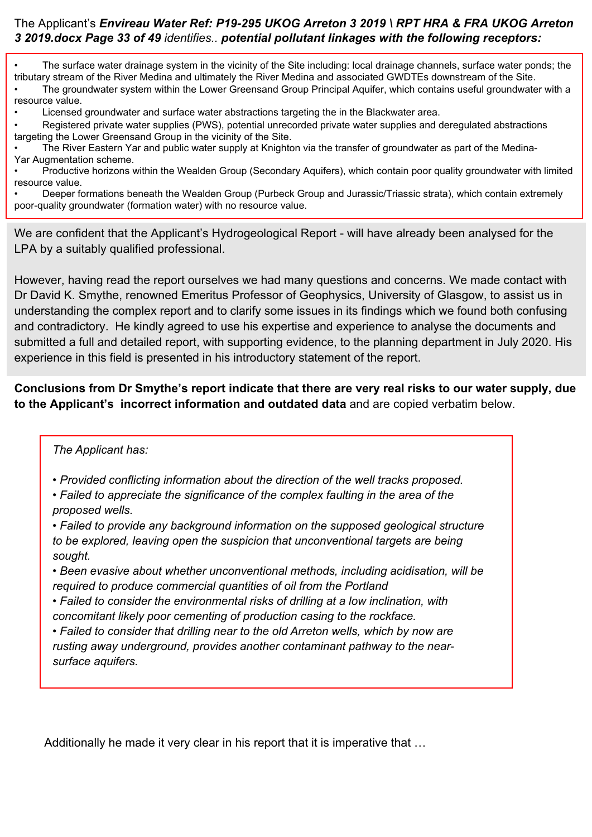### The Applicant's *Envireau Water Ref: P19-295 UKOG Arreton 3 2019 \ RPT HRA & FRA UKOG Arreton 3 2019.docx Page 33 of 49 identifies.. potential pollutant linkages with the following receptors:*

• The surface water drainage system in the vicinity of the Site including: local drainage channels, surface water ponds; the tributary stream of the River Medina and ultimately the River Medina and associated GWDTEs downstream of the Site. • The groundwater system within the Lower Greensand Group Principal Aquifer, which contains useful groundwater with a resource value.

• Licensed groundwater and surface water abstractions targeting the in the Blackwater area.

• Registered private water supplies (PWS), potential unrecorded private water supplies and deregulated abstractions targeting the Lower Greensand Group in the vicinity of the Site.

• The River Eastern Yar and public water supply at Knighton via the transfer of groundwater as part of the Medina-Yar Augmentation scheme.

• Productive horizons within the Wealden Group (Secondary Aquifers), which contain poor quality groundwater with limited resource value.

• Deeper formations beneath the Wealden Group (Purbeck Group and Jurassic/Triassic strata), which contain extremely poor-quality groundwater (formation water) with no resource value.

We are confident that the Applicant's Hydrogeological Report - will have already been analysed for the LPA by a suitably qualified professional.

However, having read the report ourselves we had many questions and concerns. We made contact with Dr David K. Smythe, renowned Emeritus Professor of Geophysics, University of Glasgow, to assist us in understanding the complex report and to clarify some issues in its findings which we found both confusing and contradictory. He kindly agreed to use his expertise and experience to analyse the documents and submitted a full and detailed report, with supporting evidence, to the planning department in July 2020. His experience in this field is presented in his introductory statement of the report.

**Conclusions from Dr Smythe's report indicate that there are very real risks to our water supply, due to the Applicant's incorrect information and outdated data** and are copied verbatim below.

#### *The Applicant has:*

*• Provided conflicting information about the direction of the well tracks proposed.*

*• Failed to appreciate the significance of the complex faulting in the area of the proposed wells.*

*• Failed to provide any background information on the supposed geological structure to be explored, leaving open the suspicion that unconventional targets are being sought.*

*• Been evasive about whether unconventional methods, including acidisation, will be required to produce commercial quantities of oil from the Portland*

*• Failed to consider the environmental risks of drilling at a low inclination, with concomitant likely poor cementing of production casing to the rockface.*

*• Failed to consider that drilling near to the old Arreton wells, which by now are rusting away underground, provides another contaminant pathway to the nearsurface aquifers.*

Additionally he made it very clear in his report that it is imperative that …